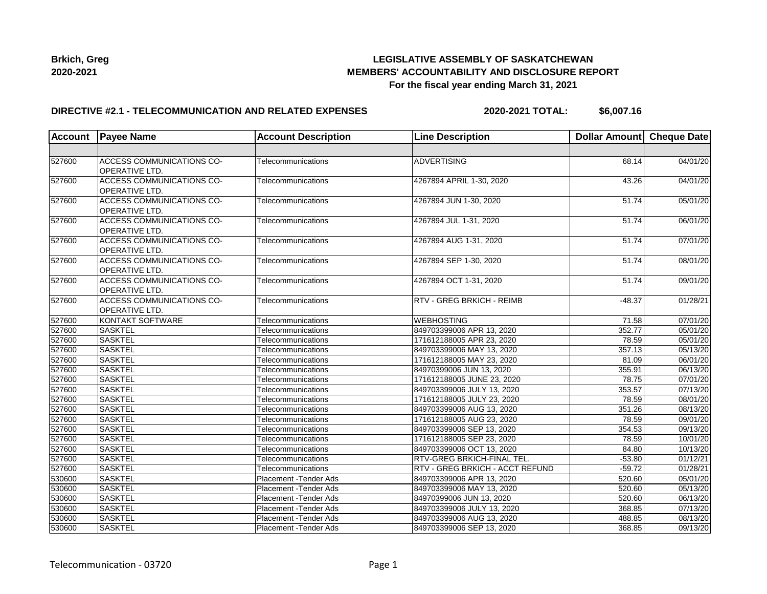

## **LEGISLATIVE ASSEMBLY OF SASKATCHEWAN MEMBERS' ACCOUNTABILITY AND DISCLOSURE REPORT For the fiscal year ending March 31, 2021**

### **DIRECTIVE #2.1 - TELECOMMUNICATION AND RELATED EXPENSES**

**2020-2021 TOTAL: \$6,007.16**

| <b>Account</b> | <b>Payee Name</b>                                         | <b>Account Description</b> | <b>Line Description</b>                | Dollar Amount   Cheque Date |                       |
|----------------|-----------------------------------------------------------|----------------------------|----------------------------------------|-----------------------------|-----------------------|
|                |                                                           |                            |                                        |                             |                       |
| 527600         | <b>ACCESS COMMUNICATIONS CO-</b><br><b>OPERATIVE LTD.</b> | Telecommunications         | <b>ADVERTISING</b>                     | 68.14                       | 04/01/20              |
| 527600         | <b>ACCESS COMMUNICATIONS CO-</b><br><b>OPERATIVE LTD.</b> | Telecommunications         | 4267894 APRIL 1-30, 2020               | 43.26                       | 04/01/20              |
| 527600         | ACCESS COMMUNICATIONS CO-<br><b>OPERATIVE LTD.</b>        | Telecommunications         | 4267894 JUN 1-30, 2020                 | $\overline{5}1.74$          | 05/01/20              |
| 527600         | <b>ACCESS COMMUNICATIONS CO-</b><br>OPERATIVE LTD.        | Telecommunications         | 4267894 JUL 1-31, 2020                 | 51.74                       | 06/01/20              |
| 527600         | ACCESS COMMUNICATIONS CO-<br>OPERATIVE LTD.               | Telecommunications         | 4267894 AUG 1-31, 2020                 | 51.74                       | 07/01/20              |
| 527600         | <b>ACCESS COMMUNICATIONS CO-</b><br>OPERATIVE LTD.        | Telecommunications         | 4267894 SEP 1-30, 2020                 | 51.74                       | 08/01/20              |
| 527600         | ACCESS COMMUNICATIONS CO-<br>OPERATIVE LTD.               | Telecommunications         | 4267894 OCT 1-31, 2020                 | 51.74                       | 09/01/20              |
| 527600         | <b>ACCESS COMMUNICATIONS CO-</b><br>OPERATIVE LTD.        | Telecommunications         | <b>RTV - GREG BRKICH - REIMB</b>       | $-48.37$                    | 01/28/21              |
| 527600         | KONTAKT SOFTWARE                                          | Telecommunications         | <b>WEBHOSTING</b>                      | 71.58                       | 07/01/20              |
| 527600         | <b>SASKTEL</b>                                            | Telecommunications         | 849703399006 APR 13, 2020              | 352.77                      | 05/01/20              |
| 527600         | <b>SASKTEL</b>                                            | Telecommunications         | 171612188005 APR 23, 2020              | 78.59                       | 05/01/20              |
| 527600         | <b>SASKTEL</b>                                            | Telecommunications         | 849703399006 MAY 13, 2020              | 357.13                      | 05/13/20              |
| 527600         | <b>SASKTEL</b>                                            | Telecommunications         | 171612188005 MAY 23, 2020              | 81.09                       | 06/01/20              |
| 527600         | <b>SASKTEL</b>                                            | Telecommunications         | 84970399006 JUN 13, 2020               | 355.91                      | 06/13/20              |
| 527600         | <b>SASKTEL</b>                                            | Telecommunications         | 171612188005 JUNE 23, 2020             | 78.75                       | 07/01/20              |
| 527600         | <b>SASKTEL</b>                                            | Telecommunications         | 849703399006 JULY 13, 2020             | 353.57                      | 07/13/20              |
| 527600         | <b>SASKTEL</b>                                            | Telecommunications         | 171612188005 JULY 23, 2020             | 78.59                       | $\overline{08}/01/20$ |
| 527600         | <b>SASKTEL</b>                                            | Telecommunications         | 849703399006 AUG 13, 2020              | 351.26                      | 08/13/20              |
| 527600         | <b>SASKTEL</b>                                            | Telecommunications         | 171612188005 AUG 23, 2020              | 78.59                       | 09/01/20              |
| 527600         | <b>SASKTEL</b>                                            | Telecommunications         | 849703399006 SEP 13, 2020              | 354.53                      | 09/13/20              |
| 527600         | <b>SASKTEL</b>                                            | Telecommunications         | 171612188005 SEP 23, 2020              | 78.59                       | 10/01/20              |
| 527600         | <b>SASKTEL</b>                                            | Telecommunications         | 849703399006 OCT 13, 2020              | 84.80                       | 10/13/20              |
| 527600         | <b>SASKTEL</b>                                            | Telecommunications         | RTV-GREG BRKICH-FINAL TEL.             | $-53.80$                    | 01/12/21              |
| 527600         | <b>SASKTEL</b>                                            | Telecommunications         | <b>RTV - GREG BRKICH - ACCT REFUND</b> | $-59.72$                    | 01/28/21              |
| 530600         | <b>SASKTEL</b>                                            | Placement - Tender Ads     | 849703399006 APR 13, 2020              | 520.60                      | 05/01/20              |
| 530600         | <b>SASKTEL</b>                                            | Placement - Tender Ads     | 849703399006 MAY 13, 2020              | 520.60                      | 05/13/20              |
| 530600         | <b>SASKTEL</b>                                            | Placement - Tender Ads     | 84970399006 JUN 13, 2020               | 520.60                      | 06/13/20              |
| 530600         | <b>SASKTEL</b>                                            | Placement - Tender Ads     | 849703399006 JULY 13, 2020             | 368.85                      | 07/13/20              |
| 530600         | <b>SASKTEL</b>                                            | Placement - Tender Ads     | 849703399006 AUG 13, 2020              | 488.85                      | 08/13/20              |
| 530600         | <b>SASKTEL</b>                                            | Placement - Tender Ads     | 849703399006 SEP 13, 2020              | 368.85                      | 09/13/20              |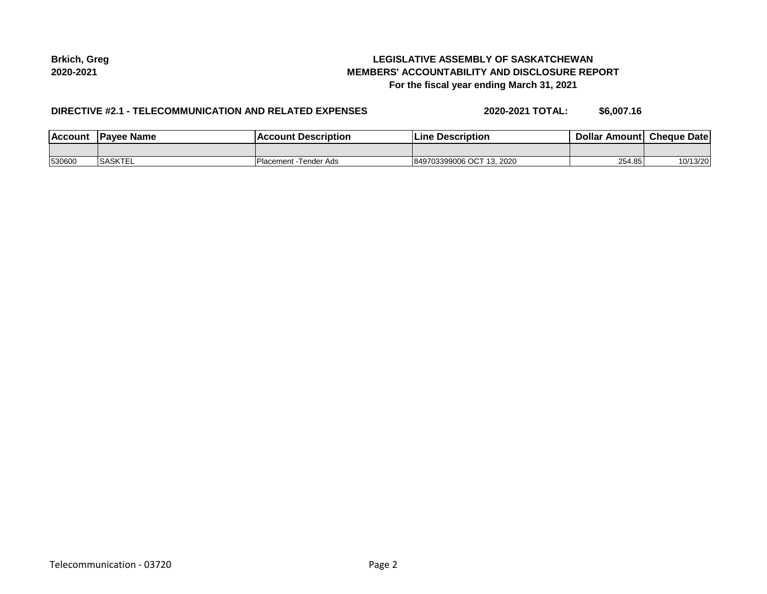## **LEGISLATIVE ASSEMBLY OF SASKATCHEWAN MEMBERS' ACCOUNTABILITY AND DISCLOSURE REPORT For the fiscal year ending March 31, 2021**

## **DIRECTIVE #2.1 - TELECOMMUNICATION AND RELATED EXPENSES**

**2020-2021 TOTAL: \$6,007.16**

| <b>Account</b> | <b>IPavee Name</b> | <b>Account Description</b> | <b>Line Description</b>     | Dollar Amount Cheque Date |          |
|----------------|--------------------|----------------------------|-----------------------------|---------------------------|----------|
|                |                    |                            |                             |                           |          |
| 530600         | <b>SASKTEL</b>     | Placement -Tender Ads      | 849703399006 OCT<br>13.2020 | 254.85                    | 10/13/20 |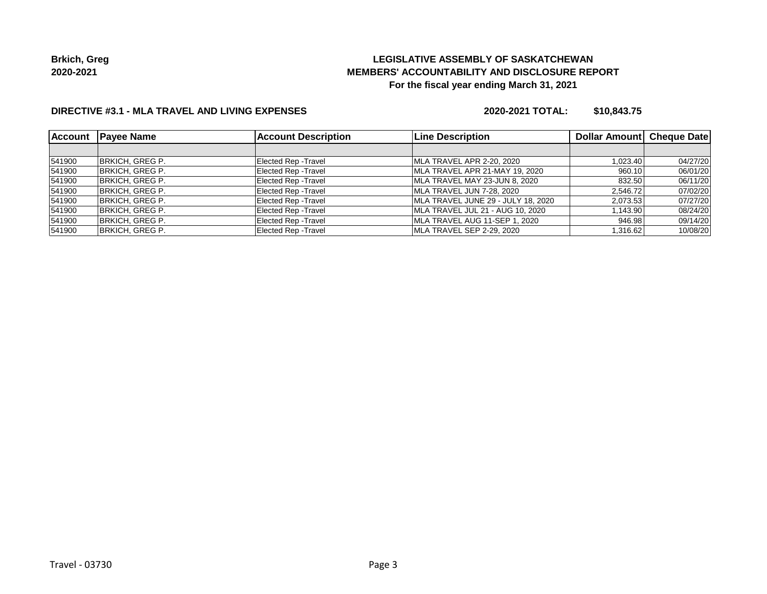# **LEGISLATIVE ASSEMBLY OF SASKATCHEWAN MEMBERS' ACCOUNTABILITY AND DISCLOSURE REPORT For the fiscal year ending March 31, 2021**

## **DIRECTIVE #3.1 - MLA TRAVEL AND LIVING EXPENSES**

#### **2020-2021 TOTAL: \$10,843.75**

| <b>Account</b> | <b>Payee Name</b>      | <b>Account Description</b>  | <b>Line Description</b>            | Dollar Amount Cheque Date |          |
|----------------|------------------------|-----------------------------|------------------------------------|---------------------------|----------|
|                |                        |                             |                                    |                           |          |
| 541900         | BRKICH, GREG P.        | <b>Elected Rep - Travel</b> | MLA TRAVEL APR 2-20, 2020          | 1,023.40                  | 04/27/20 |
| 541900         | BRKICH, GREG P.        | <b>Elected Rep - Travel</b> | MLA TRAVEL APR 21-MAY 19, 2020     | 960.10                    | 06/01/20 |
| 541900         | <b>BRKICH, GREG P.</b> | <b>Elected Rep - Travel</b> | MLA TRAVEL MAY 23-JUN 8, 2020      | 832.50                    | 06/11/20 |
| 541900         | <b>BRKICH, GREG P.</b> | <b>Elected Rep - Travel</b> | MLA TRAVEL JUN 7-28, 2020          | 2,546.72                  | 07/02/20 |
| 541900         | <b>BRKICH, GREG P.</b> | <b>Elected Rep - Travel</b> | MLA TRAVEL JUNE 29 - JULY 18, 2020 | 2,073.53                  | 07/27/20 |
| 541900         | BRKICH, GREG P.        | <b>Elected Rep - Travel</b> | MLA TRAVEL JUL 21 - AUG 10, 2020   | 1,143.90                  | 08/24/20 |
| 541900         | <b>BRKICH, GREG P.</b> | <b>Elected Rep - Travel</b> | MLA TRAVEL AUG 11-SEP 1, 2020      | 946.98                    | 09/14/20 |
| 541900         | <b>BRKICH, GREG P.</b> | <b>Elected Rep - Travel</b> | MLA TRAVEL SEP 2-29, 2020          | 1,316.62                  | 10/08/20 |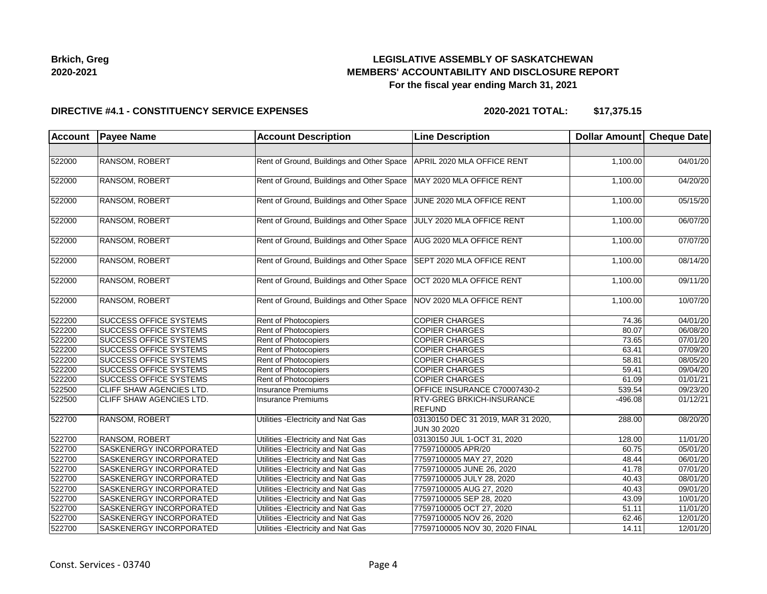## **LEGISLATIVE ASSEMBLY OF SASKATCHEWAN MEMBERS' ACCOUNTABILITY AND DISCLOSURE REPORT For the fiscal year ending March 31, 2021**

### **DIRECTIVE #4.1 - CONSTITUENCY SERVICE EXPENSES**

**2020-2021 TOTAL: \$17,375.15**

| Account | <b>Payee Name</b>              | <b>Account Description</b>                | <b>Line Description</b>                           | Dollar Amount Cheque Date |          |
|---------|--------------------------------|-------------------------------------------|---------------------------------------------------|---------------------------|----------|
|         |                                |                                           |                                                   |                           |          |
| 522000  | <b>RANSOM, ROBERT</b>          | Rent of Ground, Buildings and Other Space | APRIL 2020 MLA OFFICE RENT                        | 1,100.00                  | 04/01/20 |
| 522000  | RANSOM, ROBERT                 | Rent of Ground, Buildings and Other Space | MAY 2020 MLA OFFICE RENT                          | 1,100.00                  | 04/20/20 |
| 522000  | <b>RANSOM, ROBERT</b>          | Rent of Ground, Buildings and Other Space | JUNE 2020 MLA OFFICE RENT                         | 1,100.00                  | 05/15/20 |
| 522000  | <b>RANSOM, ROBERT</b>          | Rent of Ground, Buildings and Other Space | JULY 2020 MLA OFFICE RENT                         | 1,100.00                  | 06/07/20 |
| 522000  | RANSOM, ROBERT                 | Rent of Ground, Buildings and Other Space | AUG 2020 MLA OFFICE RENT                          | 1,100.00                  | 07/07/20 |
| 522000  | <b>RANSOM, ROBERT</b>          | Rent of Ground, Buildings and Other Space | SEPT 2020 MLA OFFICE RENT                         | 1,100.00                  | 08/14/20 |
| 522000  | <b>RANSOM, ROBERT</b>          | Rent of Ground, Buildings and Other Space | OCT 2020 MLA OFFICE RENT                          | 1,100.00                  | 09/11/20 |
| 522000  | RANSOM, ROBERT                 | Rent of Ground, Buildings and Other Space | NOV 2020 MLA OFFICE RENT                          | 1,100.00                  | 10/07/20 |
| 522200  | <b>SUCCESS OFFICE SYSTEMS</b>  | Rent of Photocopiers                      | <b>COPIER CHARGES</b>                             | 74.36                     | 04/01/20 |
| 522200  | <b>SUCCESS OFFICE SYSTEMS</b>  | Rent of Photocopiers                      | <b>COPIER CHARGES</b>                             | 80.07                     | 06/08/20 |
| 522200  | <b>SUCCESS OFFICE SYSTEMS</b>  | <b>Rent of Photocopiers</b>               | <b>COPIER CHARGES</b>                             | 73.65                     | 07/01/20 |
| 522200  | <b>SUCCESS OFFICE SYSTEMS</b>  | Rent of Photocopiers                      | <b>COPIER CHARGES</b>                             | 63.41                     | 07/09/20 |
| 522200  | <b>SUCCESS OFFICE SYSTEMS</b>  | Rent of Photocopiers                      | <b>COPIER CHARGES</b>                             | 58.81                     | 08/05/20 |
| 522200  | <b>SUCCESS OFFICE SYSTEMS</b>  | Rent of Photocopiers                      | <b>COPIER CHARGES</b>                             | 59.41                     | 09/04/20 |
| 522200  | <b>SUCCESS OFFICE SYSTEMS</b>  | Rent of Photocopiers                      | <b>COPIER CHARGES</b>                             | 61.09                     | 01/01/21 |
| 522500  | CLIFF SHAW AGENCIES LTD.       | Insurance Premiums                        | OFFICE INSURANCE C70007430-2                      | 539.54                    | 09/23/20 |
| 522500  | CLIFF SHAW AGENCIES LTD.       | Insurance Premiums                        | <b>RTV-GREG BRKICH-INSURANCE</b><br><b>REFUND</b> | -496.08                   | 01/12/21 |
| 522700  | RANSOM, ROBERT                 | Utilities - Electricity and Nat Gas       | 03130150 DEC 31 2019, MAR 31 2020,<br>JUN 30 2020 | 288.00                    | 08/20/20 |
| 522700  | <b>RANSOM, ROBERT</b>          | Utilities - Electricity and Nat Gas       | 03130150 JUL 1-OCT 31, 2020                       | 128.00                    | 11/01/20 |
| 522700  | SASKENERGY INCORPORATED        | Utilities - Electricity and Nat Gas       | 77597100005 APR/20                                | 60.75                     | 05/01/20 |
| 522700  | SASKENERGY INCORPORATED        | Utilities - Electricity and Nat Gas       | 77597100005 MAY 27, 2020                          | 48.44                     | 06/01/20 |
| 522700  | <b>SASKENERGY INCORPORATED</b> | Utilities - Electricity and Nat Gas       | 77597100005 JUNE 26, 2020                         | 41.78                     | 07/01/20 |
| 522700  | SASKENERGY INCORPORATED        | Utilities - Electricity and Nat Gas       | 77597100005 JULY 28, 2020                         | 40.43                     | 08/01/20 |
| 522700  | <b>SASKENERGY INCORPORATED</b> | Utilities - Electricity and Nat Gas       | 77597100005 AUG 27, 2020                          | 40.43                     | 09/01/20 |
| 522700  | <b>SASKENERGY INCORPORATED</b> | Utilities - Electricity and Nat Gas       | 77597100005 SEP 28, 2020                          | 43.09                     | 10/01/20 |
| 522700  | <b>SASKENERGY INCORPORATED</b> | Utilities - Electricity and Nat Gas       | 77597100005 OCT 27, 2020                          | 51.11                     | 11/01/20 |
| 522700  | SASKENERGY INCORPORATED        | Utilities - Electricity and Nat Gas       | 77597100005 NOV 26, 2020                          | 62.46                     | 12/01/20 |
| 522700  | SASKENERGY INCORPORATED        | Utilities - Electricity and Nat Gas       | 77597100005 NOV 30, 2020 FINAL                    | 14.11                     | 12/01/20 |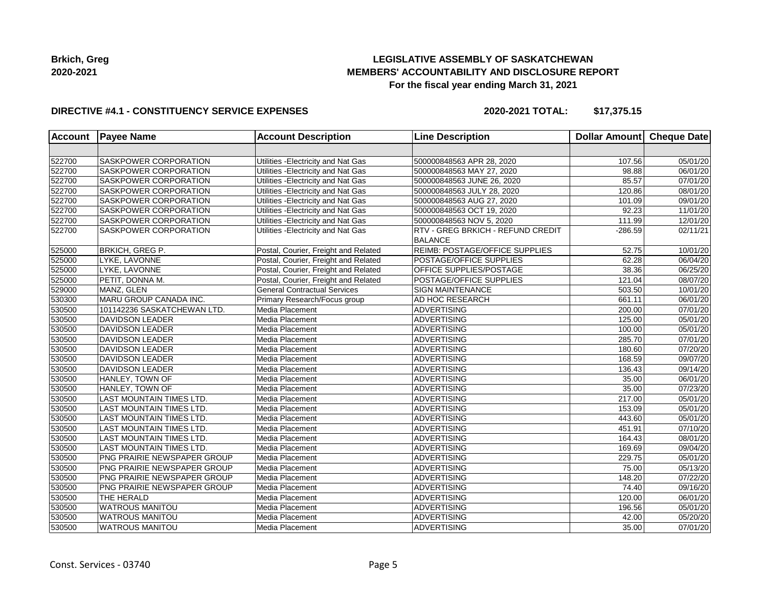## **LEGISLATIVE ASSEMBLY OF SASKATCHEWAN MEMBERS' ACCOUNTABILITY AND DISCLOSURE REPORT For the fiscal year ending March 31, 2021**

## **DIRECTIVE #4.1 - CONSTITUENCY SERVICE EXPENSES**

**2020-2021 TOTAL: \$17,375.15**

| <b>Account</b> | <b>Payee Name</b>               | <b>Account Description</b>           | <b>Line Description</b>                                    | <b>Dollar Amount</b> | Cheque Date           |
|----------------|---------------------------------|--------------------------------------|------------------------------------------------------------|----------------------|-----------------------|
|                |                                 |                                      |                                                            |                      |                       |
| 522700         | SASKPOWER CORPORATION           | Utilities - Electricity and Nat Gas  | 500000848563 APR 28, 2020                                  | 107.56               | 05/01/20              |
| 522700         | SASKPOWER CORPORATION           | Utilities - Electricity and Nat Gas  | 500000848563 MAY 27, 2020                                  | 98.88                | 06/01/20              |
| 522700         | <b>SASKPOWER CORPORATION</b>    | Utilities - Electricity and Nat Gas  | 500000848563 JUNE 26, 2020                                 | 85.57                | 07/01/20              |
| 522700         | <b>SASKPOWER CORPORATION</b>    | Utilities - Electricity and Nat Gas  | 500000848563 JULY 28, 2020                                 | 120.86               | 08/01/20              |
| 522700         | SASKPOWER CORPORATION           | Utilities - Electricity and Nat Gas  | 500000848563 AUG 27, 2020                                  | 101.09               | 09/01/20              |
| 522700         | SASKPOWER CORPORATION           | Utilities - Electricity and Nat Gas  | 500000848563 OCT 19, 2020                                  | 92.23                | 11/01/20              |
| 522700         | SASKPOWER CORPORATION           | Utilities - Electricity and Nat Gas  | 500000848563 NOV 5, 2020                                   | 111.99               | 12/01/20              |
| 522700         | SASKPOWER CORPORATION           | Utilities - Electricity and Nat Gas  | <b>RTV - GREG BRKICH - REFUND CREDIT</b><br><b>BALANCE</b> | $-286.59$            | 02/11/21              |
| 525000         | <b>BRKICH, GREG P.</b>          | Postal, Courier, Freight and Related | REIMB: POSTAGE/OFFICE SUPPLIES                             | 52.75                | 10/01/20              |
| 525000         | LYKE, LAVONNE                   | Postal, Courier, Freight and Related | POSTAGE/OFFICE SUPPLIES                                    | 62.28                | 06/04/20              |
| 525000         | LYKE, LAVONNE                   | Postal, Courier, Freight and Related | <b>OFFICE SUPPLIES/POSTAGE</b>                             | 38.36                | 06/25/20              |
| 525000         | PETIT, DONNA M.                 | Postal, Courier, Freight and Related | POSTAGE/OFFICE SUPPLIES                                    | 121.04               | $\overline{08}/07/20$ |
| 529000         | MANZ, GLEN                      | <b>General Contractual Services</b>  | <b>SIGN MAINTENANCE</b>                                    | 503.50               | 10/01/20              |
| 530300         | MARU GROUP CANADA INC.          | Primary Research/Focus group         | <b>AD HOC RESEARCH</b>                                     | 661.11               | 06/01/20              |
| 530500         | 101142236 SASKATCHEWAN LTD.     | Media Placement                      | <b>ADVERTISING</b>                                         | 200.00               | 07/01/20              |
| 530500         | <b>DAVIDSON LEADER</b>          | Media Placement                      | <b>ADVERTISING</b>                                         | 125.00               | 05/01/20              |
| 530500         | <b>DAVIDSON LEADER</b>          | Media Placement                      | ADVERTISING                                                | 100.00               | 05/01/20              |
| 530500         | <b>DAVIDSON LEADER</b>          | Media Placement                      | <b>ADVERTISING</b>                                         | 285.70               | 07/01/20              |
| 530500         | DAVIDSON LEADER                 | Media Placement                      | ADVERTISING                                                | 180.60               | 07/20/20              |
| 530500         | <b>DAVIDSON LEADER</b>          | Media Placement                      | ADVERTISING                                                | 168.59               | 09/07/20              |
| 530500         | <b>DAVIDSON LEADER</b>          | Media Placement                      | <b>ADVERTISING</b>                                         | 136.43               | 09/14/20              |
| 530500         | HANLEY, TOWN OF                 | Media Placement                      | ADVERTISING                                                | 35.00                | 06/01/20              |
| 530500         | HANLEY, TOWN OF                 | Media Placement                      | ADVERTISING                                                | 35.00                | 07/23/20              |
| 530500         | LAST MOUNTAIN TIMES LTD.        | Media Placement                      | <b>ADVERTISING</b>                                         | 217.00               | 05/01/20              |
| 530500         | LAST MOUNTAIN TIMES LTD.        | Media Placement                      | ADVERTISING                                                | 153.09               | 05/01/20              |
| 530500         | <b>LAST MOUNTAIN TIMES LTD.</b> | Media Placement                      | ADVERTISING                                                | 443.60               | 05/01/20              |
| 530500         | LAST MOUNTAIN TIMES LTD.        | Media Placement                      | <b>ADVERTISING</b>                                         | 451.91               | 07/10/20              |
| 530500         | LAST MOUNTAIN TIMES LTD.        | Media Placement                      | <b>ADVERTISING</b>                                         | 164.43               | 08/01/20              |
| 530500         | LAST MOUNTAIN TIMES LTD.        | Media Placement                      | <b>ADVERTISING</b>                                         | 169.69               | 09/04/20              |
| 530500         | PNG PRAIRIE NEWSPAPER GROUP     | Media Placement                      | <b>ADVERTISING</b>                                         | 229.75               | 05/01/20              |
| 530500         | PNG PRAIRIE NEWSPAPER GROUP     | Media Placement                      | ADVERTISING                                                | 75.00                | 05/13/20              |
| 530500         | PNG PRAIRIE NEWSPAPER GROUP     | Media Placement                      | ADVERTISING                                                | 148.20               | 07/22/20              |
| 530500         | PNG PRAIRIE NEWSPAPER GROUP     | Media Placement                      | <b>ADVERTISING</b>                                         | 74.40                | 09/16/20              |
| 530500         | THE HERALD                      | Media Placement                      | <b>ADVERTISING</b>                                         | 120.00               | 06/01/20              |
| 530500         | <b>WATROUS MANITOU</b>          | Media Placement                      | <b>ADVERTISING</b>                                         | 196.56               | 05/01/20              |
| 530500         | <b>WATROUS MANITOU</b>          | Media Placement                      | <b>ADVERTISING</b>                                         | 42.00                | 05/20/20              |
| 530500         | <b>WATROUS MANITOU</b>          | Media Placement                      | <b>ADVERTISING</b>                                         | 35.00                | 07/01/20              |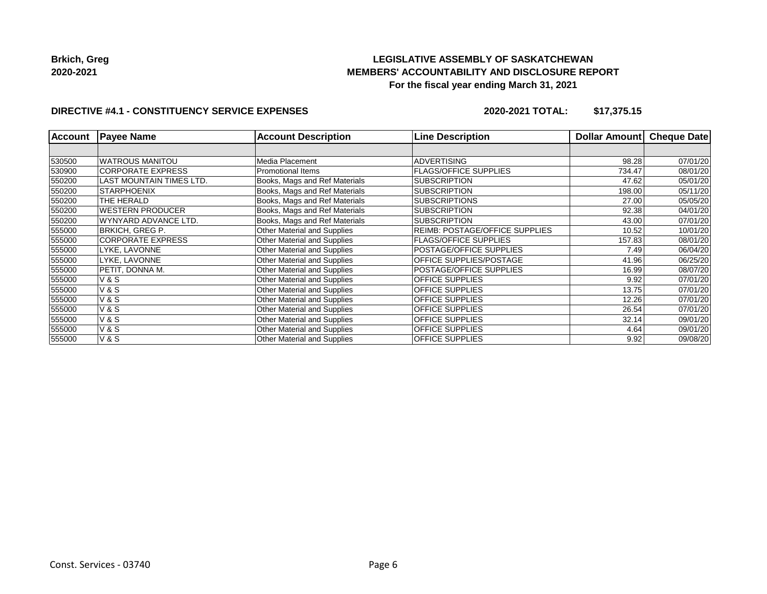## **LEGISLATIVE ASSEMBLY OF SASKATCHEWAN MEMBERS' ACCOUNTABILITY AND DISCLOSURE REPORT For the fiscal year ending March 31, 2021**

## **DIRECTIVE #4.1 - CONSTITUENCY SERVICE EXPENSES**

**2020-2021 TOTAL: \$17,375.15**

| <b>Account</b> | <b>Payee Name</b>        | <b>Account Description</b>         | <b>Line Description</b>        | <b>Dollar Amount</b> | <b>Cheque Date</b> |
|----------------|--------------------------|------------------------------------|--------------------------------|----------------------|--------------------|
|                |                          |                                    |                                |                      |                    |
| 530500         | <b>WATROUS MANITOU</b>   | Media Placement                    | <b>ADVERTISING</b>             | 98.28                | 07/01/20           |
| 530900         | <b>CORPORATE EXPRESS</b> | <b>Promotional Items</b>           | <b>FLAGS/OFFICE SUPPLIES</b>   | 734.47               | 08/01/20           |
| 550200         | LAST MOUNTAIN TIMES LTD. | Books, Mags and Ref Materials      | <b>SUBSCRIPTION</b>            | 47.62                | 05/01/20           |
| 550200         | <b>STARPHOENIX</b>       | Books, Mags and Ref Materials      | <b>SUBSCRIPTION</b>            | 198.00               | 05/11/20           |
| 550200         | THE HERALD               | Books, Mags and Ref Materials      | <b>SUBSCRIPTIONS</b>           | 27.00                | 05/05/20           |
| 550200         | <b>WESTERN PRODUCER</b>  | Books, Mags and Ref Materials      | <b>SUBSCRIPTION</b>            | 92.38                | 04/01/20           |
| 550200         | WYNYARD ADVANCE LTD.     | Books, Mags and Ref Materials      | <b>SUBSCRIPTION</b>            | 43.00                | 07/01/20           |
| 555000         | <b>BRKICH, GREG P.</b>   | <b>Other Material and Supplies</b> | REIMB: POSTAGE/OFFICE SUPPLIES | 10.52                | 10/01/20           |
| 555000         | <b>CORPORATE EXPRESS</b> | Other Material and Supplies        | <b>FLAGS/OFFICE SUPPLIES</b>   | 157.83               | 08/01/20           |
| 555000         | LYKE, LAVONNE            | Other Material and Supplies        | POSTAGE/OFFICE SUPPLIES        | 7.49                 | 06/04/20           |
| 555000         | LYKE. LAVONNE            | <b>Other Material and Supplies</b> | OFFICE SUPPLIES/POSTAGE        | 41.96                | 06/25/20           |
| 555000         | PETIT, DONNA M.          | <b>Other Material and Supplies</b> | POSTAGE/OFFICE SUPPLIES        | 16.99                | 08/07/20           |
| 555000         | <b>V&amp;S</b>           | <b>Other Material and Supplies</b> | <b>OFFICE SUPPLIES</b>         | 9.92                 | 07/01/20           |
| 555000         | <b>V&amp;S</b>           | <b>Other Material and Supplies</b> | <b>OFFICE SUPPLIES</b>         | 13.75                | 07/01/20           |
| 555000         | <b>V&amp;S</b>           | <b>Other Material and Supplies</b> | <b>OFFICE SUPPLIES</b>         | 12.26                | 07/01/20           |
| 555000         | <b>V&amp;S</b>           | <b>Other Material and Supplies</b> | OFFICE SUPPLIES                | 26.54                | 07/01/20           |
| 555000         | <b>V&amp;S</b>           | Other Material and Supplies        | <b>OFFICE SUPPLIES</b>         | 32.14                | 09/01/20           |
| 555000         | <b>V&amp;S</b>           | <b>Other Material and Supplies</b> | <b>OFFICE SUPPLIES</b>         | 4.64                 | 09/01/20           |
| 555000         | <b>V&amp;S</b>           | <b>Other Material and Supplies</b> | OFFICE SUPPLIES                | 9.92                 | 09/08/20           |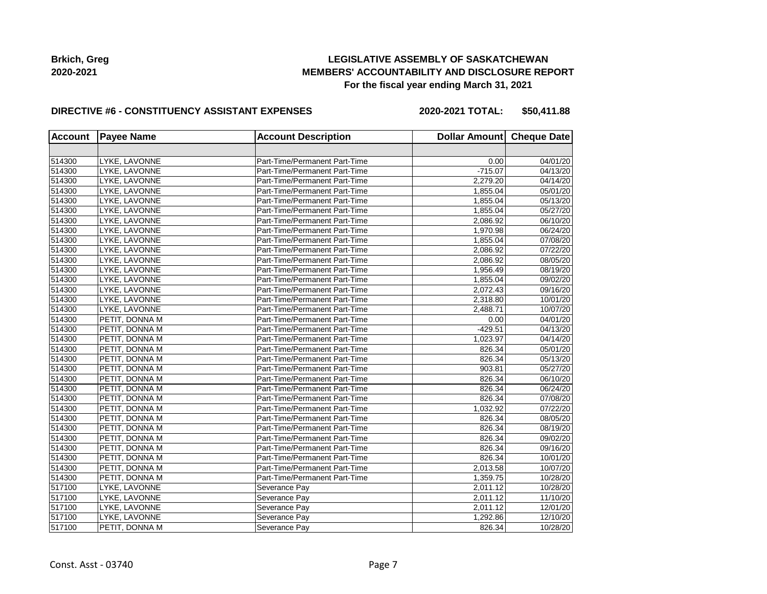## **LEGISLATIVE ASSEMBLY OF SASKATCHEWAN MEMBERS' ACCOUNTABILITY AND DISCLOSURE REPORT For the fiscal year ending March 31, 2021**

#### **DIRECTIVE #6 - CONSTITUENCY ASSISTANT EXPENSES**

**2020-2021 TOTAL: \$50,411.88**

| <b>Account</b> | <b>Payee Name</b> | <b>Account Description</b>    | Dollar Amount Cheque Date |          |
|----------------|-------------------|-------------------------------|---------------------------|----------|
|                |                   |                               |                           |          |
| 514300         | LYKE, LAVONNE     | Part-Time/Permanent Part-Time | 0.00                      | 04/01/20 |
| 514300         | LYKE, LAVONNE     | Part-Time/Permanent Part-Time | $-715.07$                 | 04/13/20 |
| 514300         | LYKE. LAVONNE     | Part-Time/Permanent Part-Time | 2,279.20                  | 04/14/20 |
| 514300         | LYKE, LAVONNE     | Part-Time/Permanent Part-Time | 1,855.04                  | 05/01/20 |
| 514300         | LYKE, LAVONNE     | Part-Time/Permanent Part-Time | 1,855.04                  | 05/13/20 |
| 514300         | LYKE, LAVONNE     | Part-Time/Permanent Part-Time | 1,855.04                  | 05/27/20 |
| 514300         | LYKE, LAVONNE     | Part-Time/Permanent Part-Time | 2,086.92                  | 06/10/20 |
| 514300         | LYKE, LAVONNE     | Part-Time/Permanent Part-Time | 1,970.98                  | 06/24/20 |
| 514300         | LYKE, LAVONNE     | Part-Time/Permanent Part-Time | 1,855.04                  | 07/08/20 |
| 514300         | LYKE, LAVONNE     | Part-Time/Permanent Part-Time | 2,086.92                  | 07/22/20 |
| 514300         | LYKE, LAVONNE     | Part-Time/Permanent Part-Time | 2,086.92                  | 08/05/20 |
| 514300         | LYKE, LAVONNE     | Part-Time/Permanent Part-Time | 1,956.49                  | 08/19/20 |
| 514300         | LYKE, LAVONNE     | Part-Time/Permanent Part-Time | 1,855.04                  | 09/02/20 |
| 514300         | LYKE, LAVONNE     | Part-Time/Permanent Part-Time | 2,072.43                  | 09/16/20 |
| 514300         | LYKE, LAVONNE     | Part-Time/Permanent Part-Time | 2,318.80                  | 10/01/20 |
| 514300         | LYKE, LAVONNE     | Part-Time/Permanent Part-Time | 2,488.71                  | 10/07/20 |
| 514300         | PETIT, DONNA M    | Part-Time/Permanent Part-Time | 0.00                      | 04/01/20 |
| 514300         | PETIT, DONNA M    | Part-Time/Permanent Part-Time | $-429.51$                 | 04/13/20 |
| 514300         | PETIT, DONNA M    | Part-Time/Permanent Part-Time | 1,023.97                  | 04/14/20 |
| 514300         | PETIT, DONNA M    | Part-Time/Permanent Part-Time | 826.34                    | 05/01/20 |
| 514300         | PETIT, DONNA M    | Part-Time/Permanent Part-Time | 826.34                    | 05/13/20 |
| 514300         | PETIT, DONNA M    | Part-Time/Permanent Part-Time | 903.81                    | 05/27/20 |
| 514300         | PETIT, DONNA M    | Part-Time/Permanent Part-Time | 826.34                    | 06/10/20 |
| 514300         | PETIT, DONNA M    | Part-Time/Permanent Part-Time | 826.34                    | 06/24/20 |
| 514300         | PETIT, DONNA M    | Part-Time/Permanent Part-Time | 826.34                    | 07/08/20 |
| 514300         | PETIT, DONNA M    | Part-Time/Permanent Part-Time | 1,032.92                  | 07/22/20 |
| 514300         | PETIT, DONNA M    | Part-Time/Permanent Part-Time | 826.34                    | 08/05/20 |
| 514300         | PETIT, DONNA M    | Part-Time/Permanent Part-Time | 826.34                    | 08/19/20 |
| 514300         | PETIT, DONNA M    | Part-Time/Permanent Part-Time | 826.34                    | 09/02/20 |
| 514300         | PETIT, DONNA M    | Part-Time/Permanent Part-Time | 826.34                    | 09/16/20 |
| 514300         | PETIT, DONNA M    | Part-Time/Permanent Part-Time | 826.34                    | 10/01/20 |
| 514300         | PETIT, DONNA M    | Part-Time/Permanent Part-Time | 2,013.58                  | 10/07/20 |
| 514300         | PETIT, DONNA M    | Part-Time/Permanent Part-Time | 1,359.75                  | 10/28/20 |
| 517100         | LYKE, LAVONNE     | Severance Pay                 | 2,011.12                  | 10/28/20 |
| 517100         | LYKE, LAVONNE     | Severance Pay                 | 2,011.12                  | 11/10/20 |
| 517100         | LYKE, LAVONNE     | Severance Pay                 | 2,011.12                  | 12/01/20 |
| 517100         | LYKE, LAVONNE     | Severance Pay                 | 1,292.86                  | 12/10/20 |
| 517100         | PETIT, DONNA M    | Severance Pay                 | 826.34                    | 10/28/20 |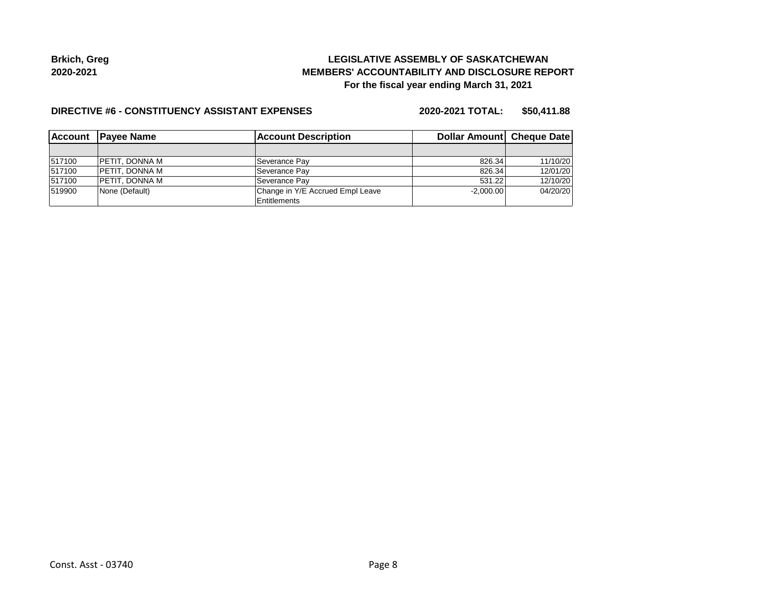## **LEGISLATIVE ASSEMBLY OF SASKATCHEWAN MEMBERS' ACCOUNTABILITY AND DISCLOSURE REPORT For the fiscal year ending March 31, 2021**

#### **DIRECTIVE #6 - CONSTITUENCY ASSISTANT EXPENSES**

**2020-2021 TOTAL: \$50,411.88**

| <b>Account</b> | <b>IPavee Name</b>    | <b>Account Description</b>       | Dollar Amount Cheque Date |          |
|----------------|-----------------------|----------------------------------|---------------------------|----------|
|                |                       |                                  |                           |          |
| 517100         | IPETIT. DONNA M       | Severance Pav                    | 826.34                    | 11/10/20 |
| 517100         | IPETIT. DONNA M       | Severance Pav                    | 826.34                    | 12/01/20 |
| 517100         | <b>PETIT, DONNA M</b> | Severance Pay                    | 531.22                    | 12/10/20 |
| 519900         | None (Default)        | Change in Y/E Accrued Empl Leave | $-2.000.00$               | 04/20/20 |
|                |                       | <b>Entitlements</b>              |                           |          |